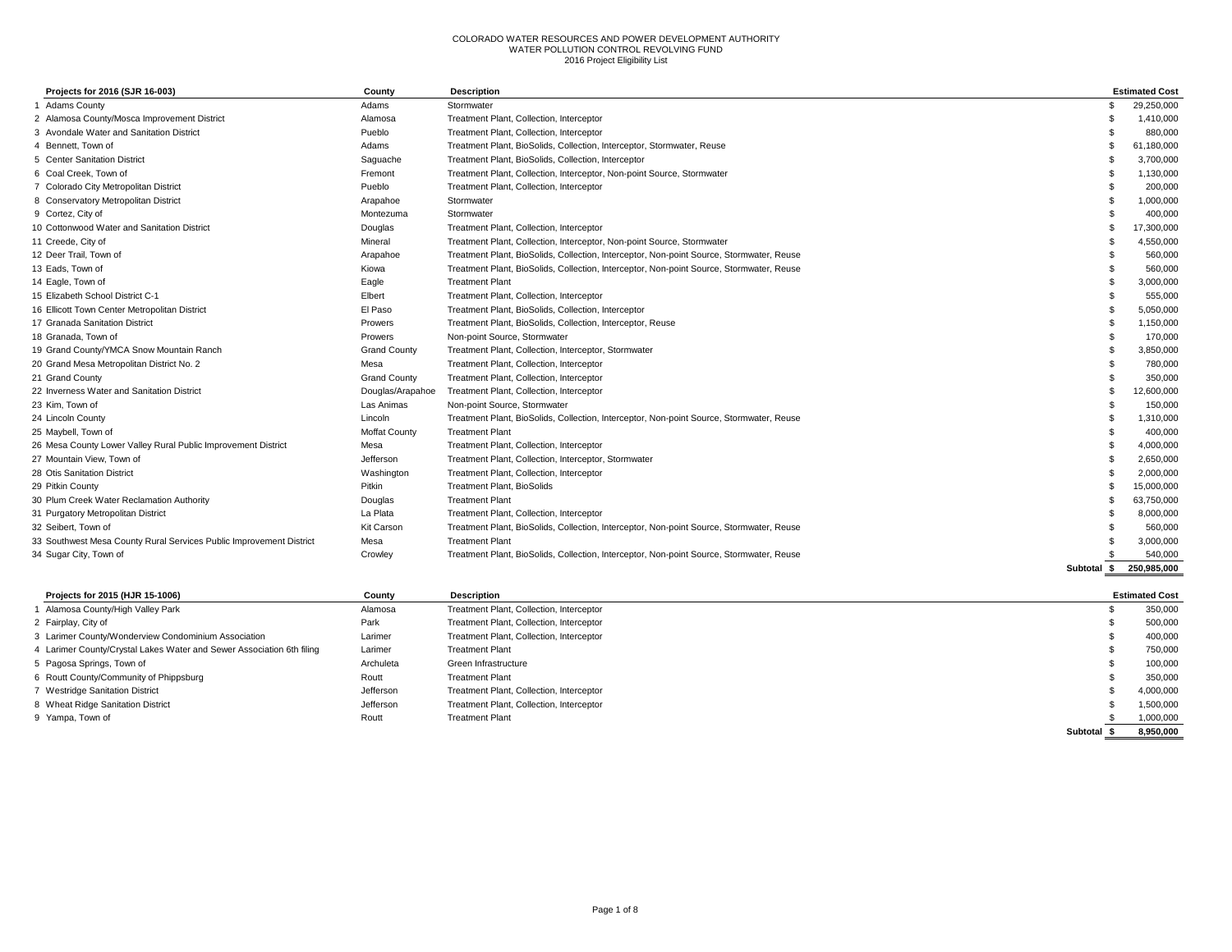| Projects for 2016 (SJR 16-003)                                      | County               | <b>Description</b>                                                                       |             | <b>Estimated Cost</b> |
|---------------------------------------------------------------------|----------------------|------------------------------------------------------------------------------------------|-------------|-----------------------|
| 1 Adams County                                                      | Adams                | Stormwater                                                                               |             | 29,250,000            |
| 2 Alamosa County/Mosca Improvement District                         | Alamosa              | Treatment Plant, Collection, Interceptor                                                 |             | 1,410,000             |
| 3 Avondale Water and Sanitation District                            | Pueblo               | Treatment Plant, Collection, Interceptor                                                 |             | 880,000               |
| 4 Bennett, Town of                                                  | Adams                | Treatment Plant, BioSolids, Collection, Interceptor, Stormwater, Reuse                   |             | 61,180,000            |
| 5 Center Sanitation District                                        | Saguache             | Treatment Plant, BioSolids, Collection, Interceptor                                      |             | 3,700,000             |
| 6 Coal Creek, Town of                                               | Fremont              | Treatment Plant, Collection, Interceptor, Non-point Source, Stormwater                   |             | 1,130,000             |
| 7 Colorado City Metropolitan District                               | Pueblo               | Treatment Plant, Collection, Interceptor                                                 |             | 200,000               |
| 8 Conservatory Metropolitan District                                | Arapahoe             | Stormwater                                                                               |             | 1,000,000             |
| 9 Cortez, City of                                                   | Montezuma            | Stormwater                                                                               |             | 400,000               |
| 10 Cottonwood Water and Sanitation District                         | Douglas              | Treatment Plant, Collection, Interceptor                                                 |             | 17,300,000            |
| 11 Creede, City of                                                  | Mineral              | Treatment Plant, Collection, Interceptor, Non-point Source, Stormwater                   |             | 4,550,000             |
| 12 Deer Trail. Town of                                              | Arapahoe             | Treatment Plant, BioSolids, Collection, Interceptor, Non-point Source, Stormwater, Reuse |             | 560,000               |
| 13 Eads. Town of                                                    | Kiowa                | Treatment Plant, BioSolids, Collection, Interceptor, Non-point Source, Stormwater, Reuse |             | 560,000               |
| 14 Eagle, Town of                                                   | Eagle                | <b>Treatment Plant</b>                                                                   |             | 3,000,000             |
| 15 Elizabeth School District C-1                                    | Elbert               | Treatment Plant, Collection, Interceptor                                                 |             | 555,000               |
| 16 Ellicott Town Center Metropolitan District                       | El Paso              | Treatment Plant, BioSolids, Collection, Interceptor                                      |             | 5,050,000             |
| 17 Granada Sanitation District                                      | Prowers              | Treatment Plant, BioSolids, Collection, Interceptor, Reuse                               |             | 1,150,000             |
| 18 Granada. Town of                                                 | Prowers              | Non-point Source, Stormwater                                                             |             | 170,000               |
| 19 Grand County/YMCA Snow Mountain Ranch                            | <b>Grand County</b>  | Treatment Plant, Collection, Interceptor, Stormwater                                     |             | 3,850,000             |
| 20 Grand Mesa Metropolitan District No. 2                           | Mesa                 | Treatment Plant, Collection, Interceptor                                                 |             | 780,000               |
| 21 Grand County                                                     | <b>Grand County</b>  | Treatment Plant, Collection, Interceptor                                                 |             | 350,000               |
| 22 Inverness Water and Sanitation District                          | Douglas/Arapahoe     | Treatment Plant, Collection, Interceptor                                                 |             | 12,600,000            |
| 23 Kim, Town of                                                     | Las Animas           | Non-point Source, Stormwater                                                             |             | 150,000               |
| 24 Lincoln County                                                   | Lincoln              | Treatment Plant, BioSolids, Collection, Interceptor, Non-point Source, Stormwater, Reuse |             | 1,310,000             |
| 25 Maybell, Town of                                                 | <b>Moffat County</b> | <b>Treatment Plant</b>                                                                   |             | 400,000               |
| 26 Mesa County Lower Valley Rural Public Improvement District       | Mesa                 | Treatment Plant, Collection, Interceptor                                                 |             | 4.000.000             |
| 27 Mountain View. Town of                                           | Jefferson            | Treatment Plant, Collection, Interceptor, Stormwater                                     |             | 2,650,000             |
| 28 Otis Sanitation District                                         | Washington           | Treatment Plant, Collection, Interceptor                                                 |             | 2,000,000             |
| 29 Pitkin County                                                    | <b>Pitkin</b>        | <b>Treatment Plant, BioSolids</b>                                                        |             | 15,000,000            |
| 30 Plum Creek Water Reclamation Authority                           | Douglas              | <b>Treatment Plant</b>                                                                   |             | 63,750,000            |
| 31 Purgatory Metropolitan District                                  | La Plata             | Treatment Plant, Collection, Interceptor                                                 |             | 8,000,000             |
| 32 Seibert, Town of                                                 | Kit Carson           | Treatment Plant, BioSolids, Collection, Interceptor, Non-point Source, Stormwater, Reuse |             | 560,000               |
| 33 Southwest Mesa County Rural Services Public Improvement District | Mesa                 | <b>Treatment Plant</b>                                                                   |             | 3,000,000             |
| 34 Sugar City, Town of                                              | Crowley              | Treatment Plant, BioSolids, Collection, Interceptor, Non-point Source, Stormwater, Reuse |             | 540,000               |
|                                                                     |                      |                                                                                          | Subtotal \$ | 250.985.000           |

| Projects for 2015 (HJR 15-1006)                                       | County    | Description                              |          | <b>Estimated Cost</b> |
|-----------------------------------------------------------------------|-----------|------------------------------------------|----------|-----------------------|
| Alamosa County/High Valley Park                                       | Alamosa   | Treatment Plant, Collection, Interceptor |          | 350,000               |
| 2 Fairplay, City of                                                   | Park      | Treatment Plant, Collection, Interceptor |          | 500,000               |
| 3 Larimer County/Wonderview Condominium Association                   | Larimer   | Treatment Plant, Collection, Interceptor |          | 400,000               |
| 4 Larimer County/Crystal Lakes Water and Sewer Association 6th filing | Larimer   | <b>Treatment Plant</b>                   |          | 750,000               |
| 5 Pagosa Springs, Town of                                             | Archuleta | Green Infrastructure                     |          | 100,000               |
| 6 Routt County/Community of Phippsburg                                | Routt     | <b>Treatment Plant</b>                   |          | 350,000               |
| <b>Westridge Sanitation District</b>                                  | Jefferson | Treatment Plant, Collection, Interceptor |          | 4,000,000             |
| 8 Wheat Ridge Sanitation District                                     | Jefferson | Treatment Plant, Collection, Interceptor |          | 1,500,000             |
| 9 Yampa, Town of                                                      | Routt     | <b>Treatment Plant</b>                   |          | 1,000,000             |
|                                                                       |           |                                          | Subtotal | 8,950,000             |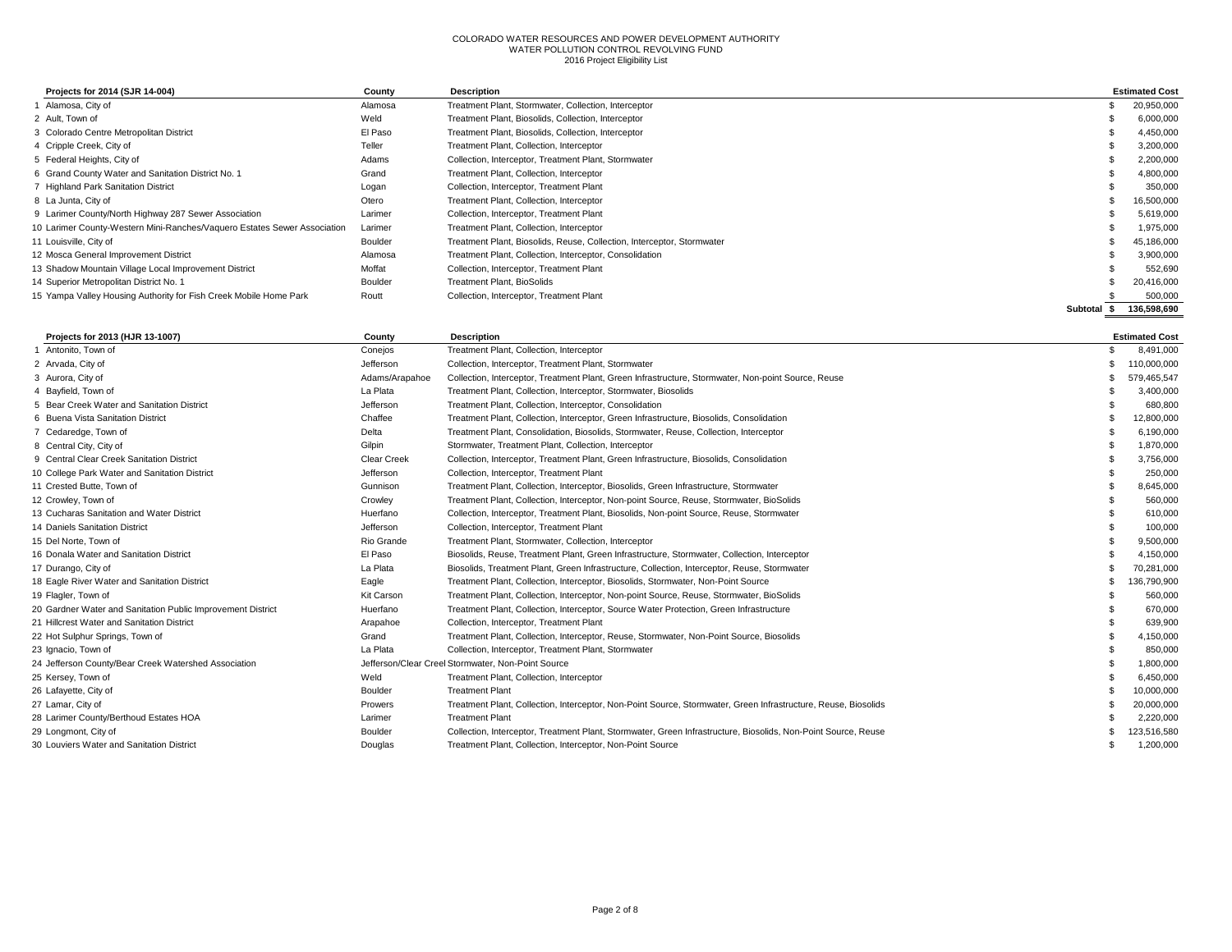| Projects for 2014 (SJR 14-004)                                           | County  | Description                                                            |          | <b>Estimated Cost</b> |
|--------------------------------------------------------------------------|---------|------------------------------------------------------------------------|----------|-----------------------|
| Alamosa, City of                                                         | Alamosa | Treatment Plant, Stormwater, Collection, Interceptor                   |          | 20,950,000            |
| 2 Ault. Town of                                                          | Weld    | Treatment Plant, Biosolids, Collection, Interceptor                    |          | 6,000,000             |
| 3 Colorado Centre Metropolitan District                                  | El Paso | Treatment Plant, Biosolids, Collection, Interceptor                    |          | 4,450,000             |
| 4 Cripple Creek, City of                                                 | Teller  | Treatment Plant, Collection, Interceptor                               |          | 3,200,000             |
| 5 Federal Heights, City of                                               | Adams   | Collection, Interceptor, Treatment Plant, Stormwater                   |          | 2,200,000             |
| 6 Grand County Water and Sanitation District No. 1                       | Grand   | Treatment Plant, Collection, Interceptor                               |          | 4,800,000             |
| 7 Highland Park Sanitation District                                      | Logan   | Collection, Interceptor, Treatment Plant                               |          | 350,000               |
| 8 La Junta, City of                                                      | Otero   | Treatment Plant, Collection, Interceptor                               |          | 16,500,000            |
| 9 Larimer County/North Highway 287 Sewer Association                     | Larimer | Collection, Interceptor, Treatment Plant                               |          | 5,619,000             |
| 10 Larimer County-Western Mini-Ranches/Vaquero Estates Sewer Association | Larimer | Treatment Plant, Collection, Interceptor                               |          | 1,975,000             |
| 11 Louisville, City of                                                   | Boulder | Treatment Plant, Biosolids, Reuse, Collection, Interceptor, Stormwater |          | 45,186,000            |
| 12 Mosca General Improvement District                                    | Alamosa | Treatment Plant, Collection, Interceptor, Consolidation                |          | 3.900.000             |
| 13 Shadow Mountain Village Local Improvement District                    | Moffat  | Collection, Interceptor, Treatment Plant                               |          | 552,690               |
| 14 Superior Metropolitan District No. 1                                  | Boulder | <b>Treatment Plant, BioSolids</b>                                      |          | 20.416.000            |
| 15 Yampa Valley Housing Authority for Fish Creek Mobile Home Park        | Routt   | Collection, Interceptor, Treatment Plant                               |          | 500,000               |
|                                                                          |         |                                                                        | Subtotal | 136.598.690           |

| Projects for 2013 (HJR 13-1007)                             | County             | <b>Description</b>                                                                                             | <b>Estimated Cost</b> |
|-------------------------------------------------------------|--------------------|----------------------------------------------------------------------------------------------------------------|-----------------------|
| 1 Antonito, Town of                                         | Conejos            | Treatment Plant, Collection, Interceptor                                                                       | 8,491,000             |
| 2 Arvada, City of                                           | Jefferson          | Collection, Interceptor, Treatment Plant, Stormwater                                                           | 110,000,000           |
| 3 Aurora, City of                                           | Adams/Arapahoe     | Collection, Interceptor, Treatment Plant, Green Infrastructure, Stormwater, Non-point Source, Reuse            | 579,465,547           |
| 4 Bayfield, Town of                                         | La Plata           | Treatment Plant, Collection, Interceptor, Stormwater, Biosolids                                                | 3,400,000             |
| 5 Bear Creek Water and Sanitation District                  | Jefferson          | Treatment Plant, Collection, Interceptor, Consolidation                                                        | 680,800               |
| 6 Buena Vista Sanitation District                           | Chaffee            | Treatment Plant, Collection, Interceptor, Green Infrastructure, Biosolids, Consolidation                       | 12,800,000            |
| 7 Cedaredge, Town of                                        | Delta              | Treatment Plant, Consolidation, Biosolids, Stormwater, Reuse, Collection, Interceptor                          | 6,190,000             |
| 8 Central City, City of                                     | Gilpin             | Stormwater, Treatment Plant, Collection, Interceptor                                                           | 1,870,000             |
| 9 Central Clear Creek Sanitation District                   | <b>Clear Creek</b> | Collection, Interceptor, Treatment Plant, Green Infrastructure, Biosolids, Consolidation                       | 3,756,000             |
| 10 College Park Water and Sanitation District               | Jefferson          | Collection, Interceptor, Treatment Plant                                                                       | 250,000               |
| 11 Crested Butte, Town of                                   | Gunnison           | Treatment Plant, Collection, Interceptor, Biosolids, Green Infrastructure, Stormwater                          | 8,645,000             |
| 12 Crowley, Town of                                         | Crowley            | Treatment Plant, Collection, Interceptor, Non-point Source, Reuse, Stormwater, BioSolids                       | 560,000               |
| 13 Cucharas Sanitation and Water District                   | Huerfano           | Collection, Interceptor, Treatment Plant, Biosolids, Non-point Source, Reuse, Stormwater                       | 610,000               |
| 14 Daniels Sanitation District                              | Jefferson          | Collection, Interceptor, Treatment Plant                                                                       | 100,000               |
| 15 Del Norte, Town of                                       | Rio Grande         | Treatment Plant, Stormwater, Collection, Interceptor                                                           | 9,500,000             |
| 16 Donala Water and Sanitation District                     | El Paso            | Biosolids, Reuse, Treatment Plant, Green Infrastructure, Stormwater, Collection, Interceptor                   | 4,150,000             |
| 17 Durango, City of                                         | La Plata           | Biosolids, Treatment Plant, Green Infrastructure, Collection, Interceptor, Reuse, Stormwater                   | 70,281,000            |
| 18 Eagle River Water and Sanitation District                | Eagle              | Treatment Plant, Collection, Interceptor, Biosolids, Stormwater, Non-Point Source                              | 136,790,900           |
| 19 Flagler, Town of                                         | <b>Kit Carson</b>  | Treatment Plant, Collection, Interceptor, Non-point Source, Reuse, Stormwater, BioSolids                       | 560,000               |
| 20 Gardner Water and Sanitation Public Improvement District | Huerfano           | Treatment Plant, Collection, Interceptor, Source Water Protection, Green Infrastructure                        | 670,000               |
| 21 Hillcrest Water and Sanitation District                  | Arapahoe           | Collection, Interceptor, Treatment Plant                                                                       | 639,900               |
| 22 Hot Sulphur Springs, Town of                             | Grand              | Treatment Plant, Collection, Interceptor, Reuse, Stormwater, Non-Point Source, Biosolids                       | 4,150,000             |
| 23 Ignacio, Town of                                         | La Plata           | Collection, Interceptor, Treatment Plant, Stormwater                                                           | 850,000               |
| 24 Jefferson County/Bear Creek Watershed Association        |                    | Jefferson/Clear Creel Stormwater, Non-Point Source                                                             | 1,800,000             |
| 25 Kersey, Town of                                          | Weld               | Treatment Plant, Collection, Interceptor                                                                       | 6,450,000             |
| 26 Lafayette, City of                                       | Boulder            | <b>Treatment Plant</b>                                                                                         | 10,000,000            |
| 27 Lamar, City of                                           | Prowers            | Treatment Plant, Collection, Interceptor, Non-Point Source, Stormwater, Green Infrastructure, Reuse, Biosolids | 20,000,000            |
| 28 Larimer County/Berthoud Estates HOA                      | Larimer            | <b>Treatment Plant</b>                                                                                         | 2,220,000             |
| 29 Longmont, City of                                        | Boulder            | Collection, Interceptor, Treatment Plant, Stormwater, Green Infrastructure, Biosolids, Non-Point Source, Reuse | 123,516,580           |
| 30 Louviers Water and Sanitation District                   | Douglas            | Treatment Plant, Collection, Interceptor, Non-Point Source                                                     | 1.200.000             |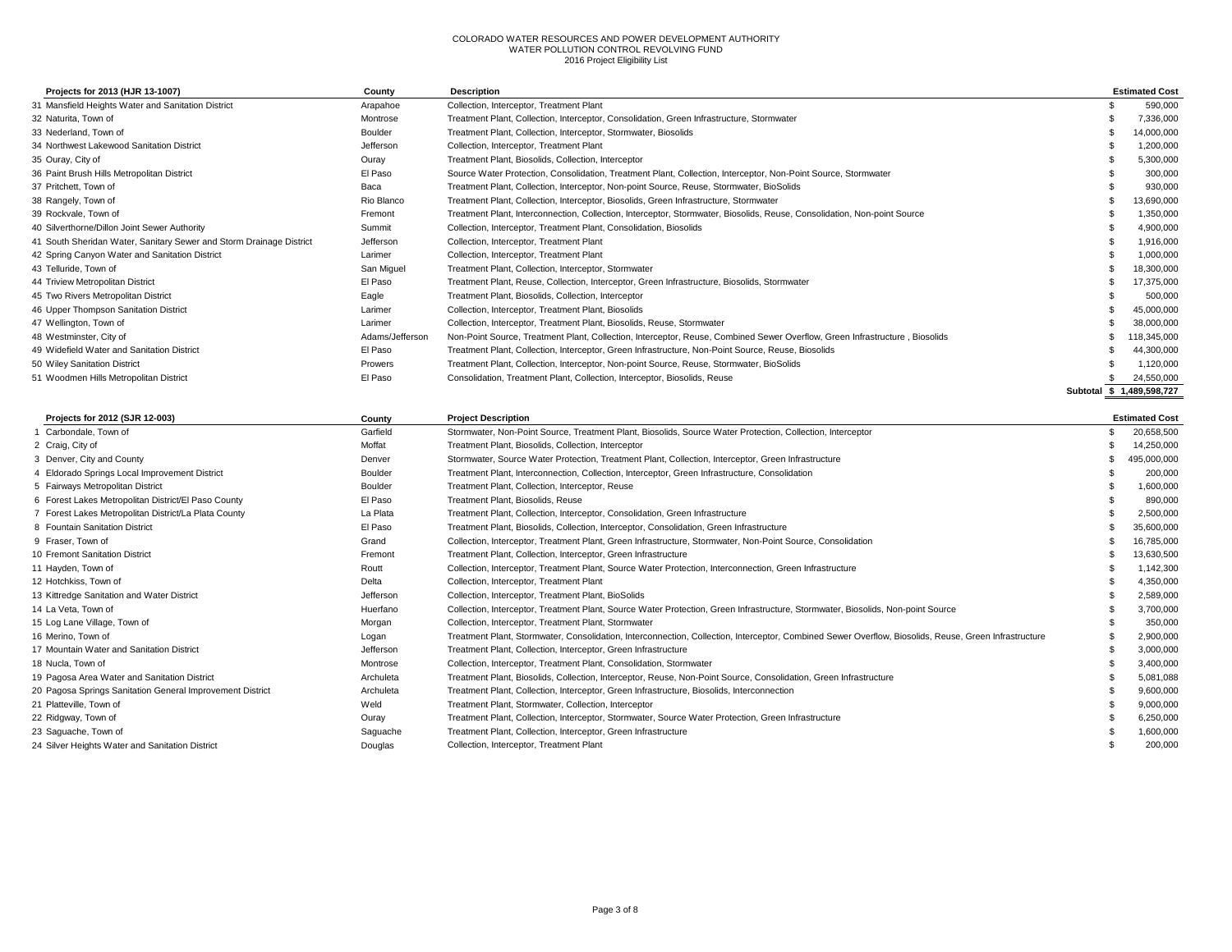| Projects for 2013 (HJR 13-1007)                                     | County          | <b>Description</b>                                                                                                          | <b>Estimated Cost</b>     |
|---------------------------------------------------------------------|-----------------|-----------------------------------------------------------------------------------------------------------------------------|---------------------------|
| 31 Mansfield Heights Water and Sanitation District                  | Arapahoe        | Collection, Interceptor, Treatment Plant                                                                                    | 590,000                   |
| 32 Naturita. Town of                                                | Montrose        | Treatment Plant, Collection, Interceptor, Consolidation, Green Infrastructure, Stormwater                                   | 7,336,000                 |
| 33 Nederland, Town of                                               | Boulder         | Treatment Plant, Collection, Interceptor, Stormwater, Biosolids                                                             | 14,000,000                |
| 34 Northwest Lakewood Sanitation District                           | Jefferson       | Collection, Interceptor, Treatment Plant                                                                                    | 1,200,000                 |
| 35 Ouray, City of                                                   | Ouray           | Treatment Plant, Biosolids, Collection, Interceptor                                                                         | 5,300,000                 |
| 36 Paint Brush Hills Metropolitan District                          | El Paso         | Source Water Protection, Consolidation, Treatment Plant, Collection, Interceptor, Non-Point Source, Stormwater              | 300,000                   |
| 37 Pritchett. Town of                                               | Baca            | Treatment Plant, Collection, Interceptor, Non-point Source, Reuse, Stormwater, BioSolids                                    | 930,000                   |
| 38 Rangely, Town of                                                 | Rio Blanco      | Treatment Plant, Collection, Interceptor, Biosolids, Green Infrastructure, Stormwater                                       | 13,690,000                |
| 39 Rockvale, Town of                                                | Fremont         | Treatment Plant, Interconnection, Collection, Interceptor, Stormwater, Biosolids, Reuse, Consolidation, Non-point Source    | 1.350.000                 |
| 40 Silverthorne/Dillon Joint Sewer Authority                        | Summit          | Collection, Interceptor, Treatment Plant, Consolidation, Biosolids                                                          | 4,900,000                 |
| 41 South Sheridan Water, Sanitary Sewer and Storm Drainage District | Jefferson       | Collection, Interceptor, Treatment Plant                                                                                    | 1,916,000                 |
| 42 Spring Canyon Water and Sanitation District                      | Larimer         | Collection, Interceptor, Treatment Plant                                                                                    | 1,000,000                 |
| 43 Telluride, Town of                                               | San Miguel      | Treatment Plant, Collection, Interceptor, Stormwater                                                                        | 18,300,000                |
| 44 Triview Metropolitan District                                    | El Paso         | Treatment Plant, Reuse, Collection, Interceptor, Green Infrastructure, Biosolids, Stormwater                                | 17,375,000                |
| 45 Two Rivers Metropolitan District                                 | Eagle           | Treatment Plant, Biosolids, Collection, Interceptor                                                                         | 500,000                   |
| 46 Upper Thompson Sanitation District                               | Larimer         | Collection, Interceptor, Treatment Plant, Biosolids                                                                         | 45,000,000                |
| 47 Wellington, Town of                                              | Larimer         | Collection, Interceptor, Treatment Plant, Biosolids, Reuse, Stormwater                                                      | 38.000.000                |
| 48 Westminster, City of                                             | Adams/Jefferson | Non-Point Source, Treatment Plant, Collection, Interceptor, Reuse, Combined Sewer Overflow, Green Infrastructure, Biosolids | 118,345,000               |
| 49 Widefield Water and Sanitation District                          | El Paso         | Treatment Plant, Collection, Interceptor, Green Infrastructure, Non-Point Source, Reuse, Biosolids                          | 44,300,000                |
| 50 Wiley Sanitation District                                        | Prowers         | Treatment Plant, Collection, Interceptor, Non-point Source, Reuse, Stormwater, BioSolids                                    | 1.120.000                 |
| 51 Woodmen Hills Metropolitan District                              | El Paso         | Consolidation, Treatment Plant, Collection, Interceptor, Biosolids, Reuse                                                   | 24,550,000                |
|                                                                     |                 |                                                                                                                             | Subtotal \$ 1,489,598,727 |

| Projects for 2012 (SJR 12-003)                            | County    | <b>Project Description</b>                                                                                                                            | <b>Estimated Cost</b> |
|-----------------------------------------------------------|-----------|-------------------------------------------------------------------------------------------------------------------------------------------------------|-----------------------|
| Carbondale, Town of                                       | Garfield  | Stormwater, Non-Point Source, Treatment Plant, Biosolids, Source Water Protection, Collection, Interceptor                                            | 20,658,500            |
| 2 Craig, City of                                          | Moffat    | Treatment Plant, Biosolids, Collection, Interceptor                                                                                                   | 14,250,000            |
| 3 Denver, City and County                                 | Denver    | Stormwater, Source Water Protection, Treatment Plant, Collection, Interceptor, Green Infrastructure                                                   | 495,000,000           |
| 4 Eldorado Springs Local Improvement District             | Boulder   | Treatment Plant, Interconnection, Collection, Interceptor, Green Infrastructure, Consolidation                                                        | 200,000               |
| 5 Fairways Metropolitan District                          | Boulder   | Treatment Plant, Collection, Interceptor, Reuse                                                                                                       | 1,600,000             |
| 6 Forest Lakes Metropolitan District/El Paso County       | El Paso   | Treatment Plant, Biosolids, Reuse                                                                                                                     | 890,000               |
| 7 Forest Lakes Metropolitan District/La Plata County      | La Plata  | Treatment Plant, Collection, Interceptor, Consolidation, Green Infrastructure                                                                         | 2,500,000             |
| 8 Fountain Sanitation District                            | El Paso   | Treatment Plant, Biosolids, Collection, Interceptor, Consolidation, Green Infrastructure                                                              | 35,600,000            |
| 9 Fraser, Town of                                         | Grand     | Collection, Interceptor, Treatment Plant, Green Infrastructure, Stormwater, Non-Point Source, Consolidation                                           | 16,785,000            |
| 10 Fremont Sanitation District                            | Fremont   | Treatment Plant, Collection, Interceptor, Green Infrastructure                                                                                        | 13,630,500            |
| 11 Hayden, Town of                                        | Routt     | Collection, Interceptor, Treatment Plant, Source Water Protection, Interconnection, Green Infrastructure                                              | 1,142,300             |
| 12 Hotchkiss, Town of                                     | Delta     | Collection, Interceptor, Treatment Plant                                                                                                              | 4,350,000             |
| 13 Kittredge Sanitation and Water District                | Jefferson | Collection, Interceptor, Treatment Plant, BioSolids                                                                                                   | 2,589,000             |
| 14 La Veta, Town of                                       | Huerfano  | Collection, Interceptor, Treatment Plant, Source Water Protection, Green Infrastructure, Stormwater, Biosolids, Non-point Source                      | 3,700,000             |
| 15 Log Lane Village, Town of                              | Morgan    | Collection, Interceptor, Treatment Plant, Stormwater                                                                                                  | 350,000               |
| 16 Merino, Town of                                        | Logan     | Treatment Plant, Stormwater, Consolidation, Interconnection, Collection, Interceptor, Combined Sewer Overflow, Biosolids, Reuse, Green Infrastructure | 2,900,000             |
| 17 Mountain Water and Sanitation District                 | Jefferson | Treatment Plant, Collection, Interceptor, Green Infrastructure                                                                                        | 3,000,000             |
| 18 Nucla, Town of                                         | Montrose  | Collection, Interceptor, Treatment Plant, Consolidation, Stormwater                                                                                   | 3,400,000             |
| 19 Pagosa Area Water and Sanitation District              | Archuleta | Treatment Plant, Biosolids, Collection, Interceptor, Reuse, Non-Point Source, Consolidation, Green Infrastructure                                     | 5.081.088             |
| 20 Pagosa Springs Sanitation General Improvement District | Archuleta | Treatment Plant, Collection, Interceptor, Green Infrastructure, Biosolids, Interconnection                                                            | 9,600,000             |
| 21 Platteville, Town of                                   | Weld      | Treatment Plant, Stormwater, Collection, Interceptor                                                                                                  | 9,000,000             |
| 22 Ridgway, Town of                                       | Ouray     | Treatment Plant, Collection, Interceptor, Stormwater, Source Water Protection, Green Infrastructure                                                   | 6,250,000             |
| 23 Saguache, Town of                                      | Saguache  | Treatment Plant, Collection, Interceptor, Green Infrastructure                                                                                        | 1,600,000             |
| 24 Silver Heights Water and Sanitation District           | Douglas   | Collection, Interceptor, Treatment Plant                                                                                                              | 200,000               |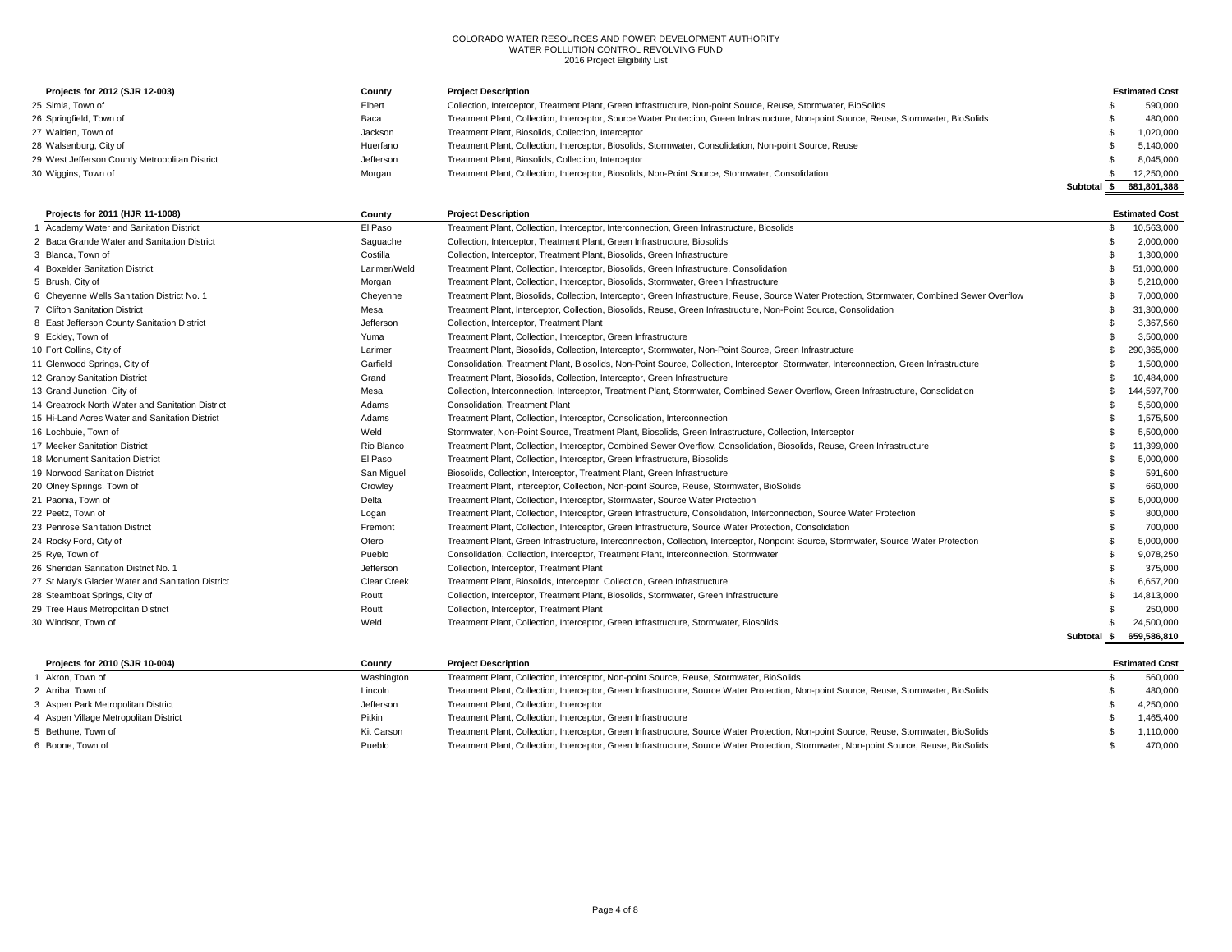| Projects for 2012 (SJR 12-003)                 | County    | <b>Project Description</b>                                                                                                              |          | <b>Estimated Cost</b> |
|------------------------------------------------|-----------|-----------------------------------------------------------------------------------------------------------------------------------------|----------|-----------------------|
| 25 Simla, Town of                              | Elbert    | Collection, Interceptor, Treatment Plant, Green Infrastructure, Non-point Source, Reuse, Stormwater, BioSolids                          |          | 590.000               |
| 26 Springfield, Town of                        | Baca      | Treatment Plant, Collection, Interceptor, Source Water Protection, Green Infrastructure, Non-point Source, Reuse, Stormwater, BioSolids |          | 480,000               |
| 27 Walden, Town of                             | Jackson   | Treatment Plant, Biosolids, Collection, Interceptor                                                                                     |          | 1,020,000             |
| 28 Walsenburg, City of                         | Huerfano  | Treatment Plant, Collection, Interceptor, Biosolids, Stormwater, Consolidation, Non-point Source, Reuse                                 |          | 5,140,000             |
| 29 West Jefferson County Metropolitan District | Jefferson | Treatment Plant, Biosolids, Collection, Interceptor                                                                                     |          | 8.045.000             |
| 30 Wiggins, Town of                            | Morgan    | Treatment Plant, Collection, Interceptor, Biosolids, Non-Point Source, Stormwater, Consolidation                                        |          | 12,250,000            |
|                                                |           |                                                                                                                                         | Subtotal | 681.801.388           |

| Projects for 2011 (HJR 11-1008)                    | County             | <b>Project Description</b>                                                                                                                     |             | <b>Estimated Cost</b> |
|----------------------------------------------------|--------------------|------------------------------------------------------------------------------------------------------------------------------------------------|-------------|-----------------------|
| 1 Academy Water and Sanitation District            | El Paso            | Treatment Plant, Collection, Interceptor, Interconnection, Green Infrastructure, Biosolids                                                     |             | 10,563,000            |
| 2 Baca Grande Water and Sanitation District        | Saguache           | Collection, Interceptor, Treatment Plant, Green Infrastructure, Biosolids                                                                      |             | 2,000,000             |
| 3 Blanca, Town of                                  | Costilla           | Collection, Interceptor, Treatment Plant, Biosolids, Green Infrastructure                                                                      |             | 1,300,000             |
| 4 Boxelder Sanitation District                     | Larimer/Weld       | Treatment Plant, Collection, Interceptor, Biosolids, Green Infrastructure, Consolidation                                                       |             | 51,000,000            |
| 5 Brush, City of                                   | Morgan             | Treatment Plant, Collection, Interceptor, Biosolids, Stormwater, Green Infrastructure                                                          |             | 5,210,000             |
| 6 Cheyenne Wells Sanitation District No. 1         | Cheyenne           | Treatment Plant, Biosolids, Collection, Interceptor, Green Infrastructure, Reuse, Source Water Protection, Stormwater, Combined Sewer Overflow |             | 7,000,000             |
| 7 Clifton Sanitation District                      | Mesa               | Treatment Plant, Interceptor, Collection, Biosolids, Reuse, Green Infrastructure, Non-Point Source, Consolidation                              |             | 31,300,000            |
| 8 East Jefferson County Sanitation District        | Jefferson          | Collection, Interceptor, Treatment Plant                                                                                                       |             | 3,367,560             |
| 9 Eckley, Town of                                  | Yuma               | Treatment Plant, Collection, Interceptor, Green Infrastructure                                                                                 |             | 3,500,000             |
| 10 Fort Collins, City of                           | Larimer            | Treatment Plant, Biosolids, Collection, Interceptor, Stormwater, Non-Point Source, Green Infrastructure                                        |             | 290,365,000           |
| 11 Glenwood Springs, City of                       | Garfield           | Consolidation, Treatment Plant, Biosolids, Non-Point Source, Collection, Interceptor, Stormwater, Interconnection, Green Infrastructure        |             | 1.500.000             |
| 12 Granby Sanitation District                      | Grand              | Treatment Plant, Biosolids, Collection, Interceptor, Green Infrastructure                                                                      |             | 10,484,000            |
| 13 Grand Junction, City of                         | Mesa               | Collection, Interconnection, Interceptor, Treatment Plant, Stormwater, Combined Sewer Overflow, Green Infrastructure, Consolidation            |             | 144,597,700           |
| 14 Greatrock North Water and Sanitation District   | Adams              | <b>Consolidation, Treatment Plant</b>                                                                                                          |             | 5.500.000             |
| 15 Hi-Land Acres Water and Sanitation District     | Adams              | Treatment Plant, Collection, Interceptor, Consolidation, Interconnection                                                                       |             | 1,575,500             |
| 16 Lochbuie, Town of                               | Weld               | Stormwater, Non-Point Source, Treatment Plant, Biosolids, Green Infrastructure, Collection, Interceptor                                        |             | 5,500,000             |
| 17 Meeker Sanitation District                      | Rio Blanco         | Treatment Plant, Collection, Interceptor, Combined Sewer Overflow, Consolidation, Biosolids, Reuse, Green Infrastructure                       |             | 11,399,000            |
| 18 Monument Sanitation District                    | El Paso            | Treatment Plant, Collection, Interceptor, Green Infrastructure, Biosolids                                                                      |             | 5,000,000             |
| 19 Norwood Sanitation District                     | San Miguel         | Biosolids, Collection, Interceptor, Treatment Plant, Green Infrastructure                                                                      |             | 591,600               |
| 20 Olney Springs, Town of                          | Crowley            | Treatment Plant, Interceptor, Collection, Non-point Source, Reuse, Stormwater, BioSolids                                                       |             | 660,000               |
| 21 Paonia, Town of                                 | Delta              | Treatment Plant, Collection, Interceptor, Stormwater, Source Water Protection                                                                  |             | 5,000,000             |
| 22 Peetz. Town of                                  | Logan              | Treatment Plant, Collection, Interceptor, Green Infrastructure, Consolidation, Interconnection, Source Water Protection                        |             | 800,000               |
| 23 Penrose Sanitation District                     | Fremont            | Treatment Plant, Collection, Interceptor, Green Infrastructure, Source Water Protection, Consolidation                                         |             | 700.000               |
| 24 Rocky Ford, City of                             | Otero              | Treatment Plant, Green Infrastructure, Interconnection, Collection, Interceptor, Nonpoint Source, Stormwater, Source Water Protection          |             | 5.000.000             |
| 25 Rye, Town of                                    | Pueblo             | Consolidation, Collection, Interceptor, Treatment Plant, Interconnection, Stormwater                                                           |             | 9,078,250             |
| 26 Sheridan Sanitation District No. 1              | Jefferson          | Collection, Interceptor, Treatment Plant                                                                                                       |             | 375,000               |
| 27 St Mary's Glacier Water and Sanitation District | <b>Clear Creek</b> | Treatment Plant, Biosolids, Interceptor, Collection, Green Infrastructure                                                                      |             | 6.657.200             |
| 28 Steamboat Springs, City of                      | Routt              | Collection, Interceptor, Treatment Plant, Biosolids, Stormwater, Green Infrastructure                                                          |             | 14,813,000            |
| 29 Tree Haus Metropolitan District                 | Routt              | Collection, Interceptor, Treatment Plant                                                                                                       |             | 250,000               |
| 30 Windsor, Town of                                | Weld               | Treatment Plant, Collection, Interceptor, Green Infrastructure, Stormwater, Biosolids                                                          |             | 24.500.000            |
|                                                    |                    |                                                                                                                                                | Subtotal \$ | 659,586,810           |

| Projects for 2010 (SJR 10-004)        | County     | <b>Project Description</b>                                                                                                              | <b>Estimated Cost</b> |
|---------------------------------------|------------|-----------------------------------------------------------------------------------------------------------------------------------------|-----------------------|
| Akron, Town of                        | Washington | Treatment Plant, Collection, Interceptor, Non-point Source, Reuse, Stormwater, BioSolids                                                | 560.000               |
| 2 Arriba, Town of                     | Lincoln    | Treatment Plant, Collection, Interceptor, Green Infrastructure, Source Water Protection, Non-point Source, Reuse, Stormwater, BioSolids | 480.000               |
| 3 Aspen Park Metropolitan District    | Jefferson  | Treatment Plant, Collection, Interceptor                                                                                                | 4.250.000             |
| 4 Aspen Village Metropolitan District | Pitkin     | Treatment Plant, Collection, Interceptor, Green Infrastructure                                                                          | 1.465.400             |
| 5 Bethune, Town of                    | Kit Carson | Treatment Plant, Collection, Interceptor, Green Infrastructure, Source Water Protection, Non-point Source, Reuse, Stormwater, BioSolids | 1.110.000             |
| 6 Boone, Town of                      | Pueblo     | Treatment Plant, Collection, Interceptor, Green Infrastructure, Source Water Protection, Stormwater, Non-point Source, Reuse, BioSolids | 470.000               |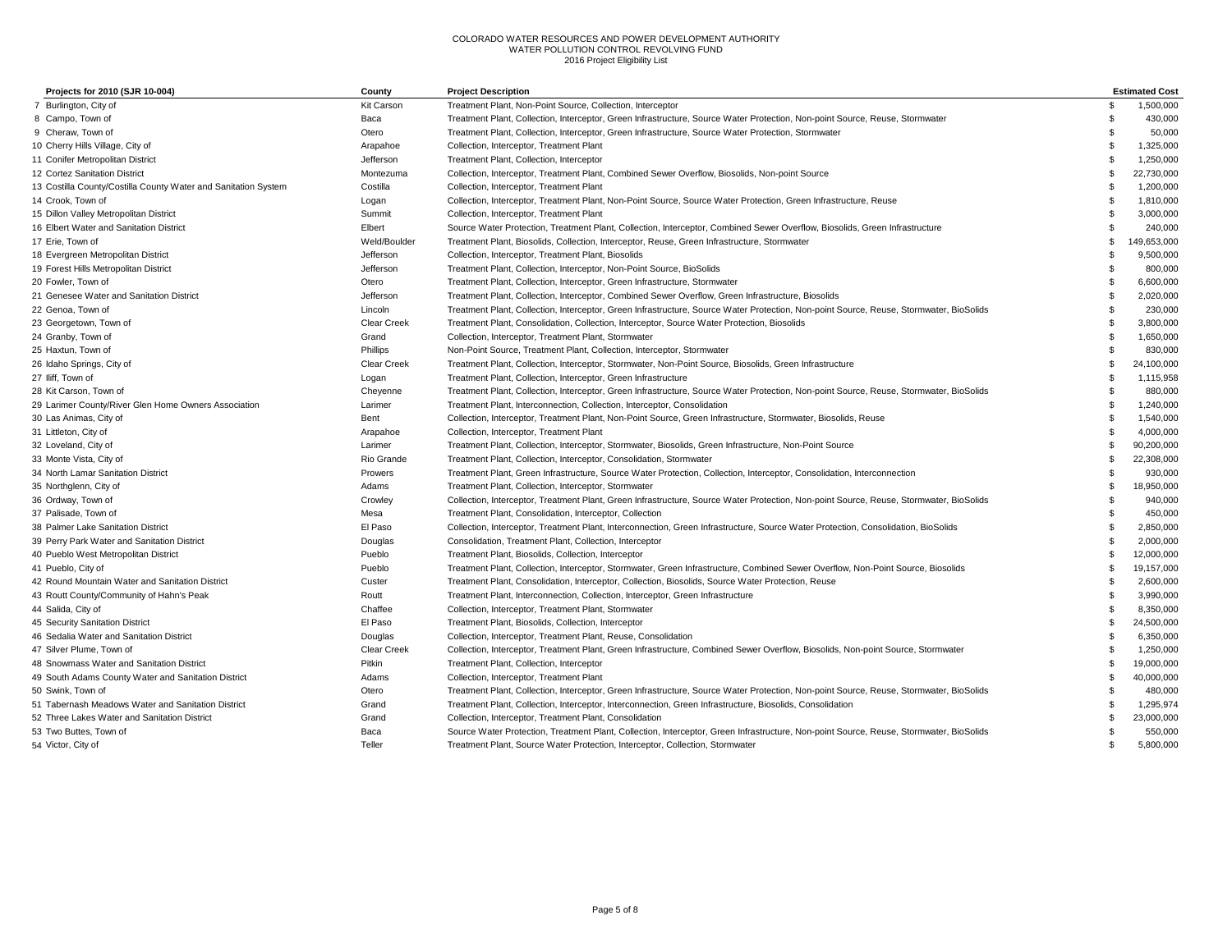| Projects for 2010 (SJR 10-004)                                 | County            | <b>Project Description</b>                                                                                                              |     | <b>Estimated Cost</b> |
|----------------------------------------------------------------|-------------------|-----------------------------------------------------------------------------------------------------------------------------------------|-----|-----------------------|
| 7 Burlington, City of                                          | <b>Kit Carson</b> | Treatment Plant, Non-Point Source, Collection, Interceptor                                                                              | \$  | 1.500.000             |
| 8 Campo, Town of                                               | Baca              | Treatment Plant, Collection, Interceptor, Green Infrastructure, Source Water Protection, Non-point Source, Reuse, Stormwater            | £.  | 430,000               |
| 9 Cheraw, Town of                                              | Otero             | Treatment Plant, Collection, Interceptor, Green Infrastructure, Source Water Protection, Stormwater                                     | £.  | 50.000                |
| 10 Cherry Hills Village, City of                               | Arapahoe          | Collection, Interceptor, Treatment Plant                                                                                                | £.  | 1,325,000             |
| 11 Conifer Metropolitan District                               | Jefferson         | Treatment Plant, Collection, Interceptor                                                                                                | £.  | 1,250,000             |
| 12 Cortez Sanitation District                                  | Montezuma         | Collection, Interceptor, Treatment Plant, Combined Sewer Overflow, Biosolids, Non-point Source                                          | £.  | 22,730,000            |
| 13 Costilla County/Costilla County Water and Sanitation System | Costilla          | Collection, Interceptor, Treatment Plant                                                                                                | £.  | 1,200,000             |
| 14 Crook, Town of                                              | Logan             | Collection, Interceptor, Treatment Plant, Non-Point Source, Source Water Protection, Green Infrastructure, Reuse                        |     | 1,810,000             |
| 15 Dillon Valley Metropolitan District                         | Summit            | Collection, Interceptor, Treatment Plant                                                                                                | \$  | 3,000,000             |
| 16 Elbert Water and Sanitation District                        | Elbert            | Source Water Protection, Treatment Plant, Collection, Interceptor, Combined Sewer Overflow, Biosolids, Green Infrastructure             |     | 240,000               |
| 17 Erie, Town of                                               | Weld/Boulder      | Treatment Plant, Biosolids, Collection, Interceptor, Reuse, Green Infrastructure, Stormwater                                            | \$. | 149,653,000           |
| 18 Evergreen Metropolitan District                             | Jefferson         | Collection, Interceptor, Treatment Plant, Biosolids                                                                                     | \$  | 9,500,000             |
| 19 Forest Hills Metropolitan District                          | Jefferson         | Treatment Plant, Collection, Interceptor, Non-Point Source, BioSolids                                                                   | \$  | 800,000               |
| 20 Fowler, Town of                                             | Otero             | Treatment Plant, Collection, Interceptor, Green Infrastructure, Stormwater                                                              | \$  | 6,600,000             |
| 21 Genesee Water and Sanitation District                       | Jefferson         | Treatment Plant, Collection, Interceptor, Combined Sewer Overflow, Green Infrastructure, Biosolids                                      | \$  | 2,020,000             |
| 22 Genoa, Town of                                              | Lincoln           | Treatment Plant, Collection, Interceptor, Green Infrastructure, Source Water Protection, Non-point Source, Reuse, Stormwater, BioSolids | \$. | 230,000               |
| 23 Georgetown, Town of                                         | Clear Creek       | Treatment Plant, Consolidation, Collection, Interceptor, Source Water Protection, Biosolids                                             | \$. | 3,800,000             |
| 24 Granby, Town of                                             | Grand             | Collection, Interceptor, Treatment Plant, Stormwater                                                                                    | \$. | 1,650,000             |
| 25 Haxtun, Town of                                             | Phillips          | Non-Point Source, Treatment Plant, Collection, Interceptor, Stormwater                                                                  | \$  | 830,000               |
| 26 Idaho Springs, City of                                      | Clear Creek       | Treatment Plant, Collection, Interceptor, Stormwater, Non-Point Source, Biosolids, Green Infrastructure                                 | \$  | 24,100,000            |
| 27 Iliff, Town of                                              | Logan             | Treatment Plant, Collection, Interceptor, Green Infrastructure                                                                          | \$  | 1,115,958             |
| 28 Kit Carson, Town of                                         | Cheyenne          | Treatment Plant, Collection, Interceptor, Green Infrastructure, Source Water Protection, Non-point Source, Reuse, Stormwater, BioSolids | \$  | 880,000               |
| 29 Larimer County/River Glen Home Owners Association           | Larimer           | Treatment Plant, Interconnection, Collection, Interceptor, Consolidation                                                                | \$  | 1,240,000             |
| 30 Las Animas, City of                                         | Bent              | Collection, Interceptor, Treatment Plant, Non-Point Source, Green Infrastructure, Stormwater, Biosolids, Reuse                          | \$  | 1,540,000             |
| 31 Littleton, City of                                          | Arapahoe          | Collection, Interceptor, Treatment Plant                                                                                                | s.  | 4,000,000             |
| 32 Loveland, City of                                           | Larimer           | Treatment Plant, Collection, Interceptor, Stormwater, Biosolids, Green Infrastructure, Non-Point Source                                 | \$  | 90,200,000            |
| 33 Monte Vista, City of                                        | Rio Grande        | Treatment Plant, Collection, Interceptor, Consolidation, Stormwater                                                                     | £.  | 22,308,000            |
| 34 North Lamar Sanitation District                             | Prowers           | Treatment Plant, Green Infrastructure, Source Water Protection, Collection, Interceptor, Consolidation, Interconnection                 | .¢  | 930,000               |
| 35 Northglenn, City of                                         | Adams             | Treatment Plant, Collection, Interceptor, Stormwater                                                                                    | .¢  | 18,950,000            |
| 36 Ordway, Town of                                             | Crowley           | Collection, Interceptor, Treatment Plant, Green Infrastructure, Source Water Protection, Non-point Source, Reuse, Stormwater, BioSolids |     | 940,000               |
| 37 Palisade, Town of                                           | Mesa              | Treatment Plant, Consolidation, Interceptor, Collection                                                                                 |     | 450,000               |
| 38 Palmer Lake Sanitation District                             | El Paso           | Collection, Interceptor, Treatment Plant, Interconnection, Green Infrastructure, Source Water Protection, Consolidation, BioSolids      | £.  | 2.850.000             |
| 39 Perry Park Water and Sanitation District                    | Douglas           | Consolidation, Treatment Plant, Collection, Interceptor                                                                                 | .¢  | 2,000,000             |
| 40 Pueblo West Metropolitan District                           | Pueblo            | Treatment Plant, Biosolids, Collection, Interceptor                                                                                     | \$  | 12,000,000            |
| 41 Pueblo, City of                                             | Pueblo            | Treatment Plant, Collection, Interceptor, Stormwater, Green Infrastructure, Combined Sewer Overflow, Non-Point Source, Biosolids        | \$  | 19,157,000            |
| 42 Round Mountain Water and Sanitation District                | Custer            | Treatment Plant, Consolidation, Interceptor, Collection, Biosolids, Source Water Protection, Reuse                                      | \$. | 2,600,000             |
| 43 Routt County/Community of Hahn's Peak                       | Routt             | Treatment Plant, Interconnection, Collection, Interceptor, Green Infrastructure                                                         | £.  | 3,990,000             |
| 44 Salida, City of                                             | Chaffee           | Collection, Interceptor, Treatment Plant, Stormwater                                                                                    | \$. | 8,350,000             |
| 45 Security Sanitation District                                | El Paso           | Treatment Plant, Biosolids, Collection, Interceptor                                                                                     | \$. | 24,500,000            |
| 46 Sedalia Water and Sanitation District                       | Douglas           | Collection, Interceptor, Treatment Plant, Reuse, Consolidation                                                                          | \$  | 6,350,000             |
| 47 Silver Plume, Town of                                       | Clear Creek       | Collection, Interceptor, Treatment Plant, Green Infrastructure, Combined Sewer Overflow, Biosolids, Non-point Source, Stormwater        | ę.  | 1,250,000             |
| 48 Snowmass Water and Sanitation District                      | Pitkin            | Treatment Plant, Collection, Interceptor                                                                                                | \$  | 19,000,000            |
| 49 South Adams County Water and Sanitation District            | Adams             | Collection, Interceptor, Treatment Plant                                                                                                | \$  | 40,000,000            |
| 50 Swink, Town of                                              | Otero             | Treatment Plant, Collection, Interceptor, Green Infrastructure, Source Water Protection, Non-point Source, Reuse, Stormwater, BioSolids |     | 480,000               |
| 51 Tabernash Meadows Water and Sanitation District             | Grand             | Treatment Plant, Collection, Interceptor, Interconnection, Green Infrastructure, Biosolids, Consolidation                               |     | 1,295,974             |
| 52 Three Lakes Water and Sanitation District                   | Grand             | Collection, Interceptor, Treatment Plant, Consolidation                                                                                 | s.  | 23,000,000            |
| 53 Two Buttes, Town of                                         | Baca              | Source Water Protection, Treatment Plant, Collection, Interceptor, Green Infrastructure, Non-point Source, Reuse, Stormwater, BioSolids | \$. | 550,000               |
| 54 Victor, City of                                             | Teller            | Treatment Plant, Source Water Protection, Interceptor, Collection, Stormwater                                                           | £.  | 5,800,000             |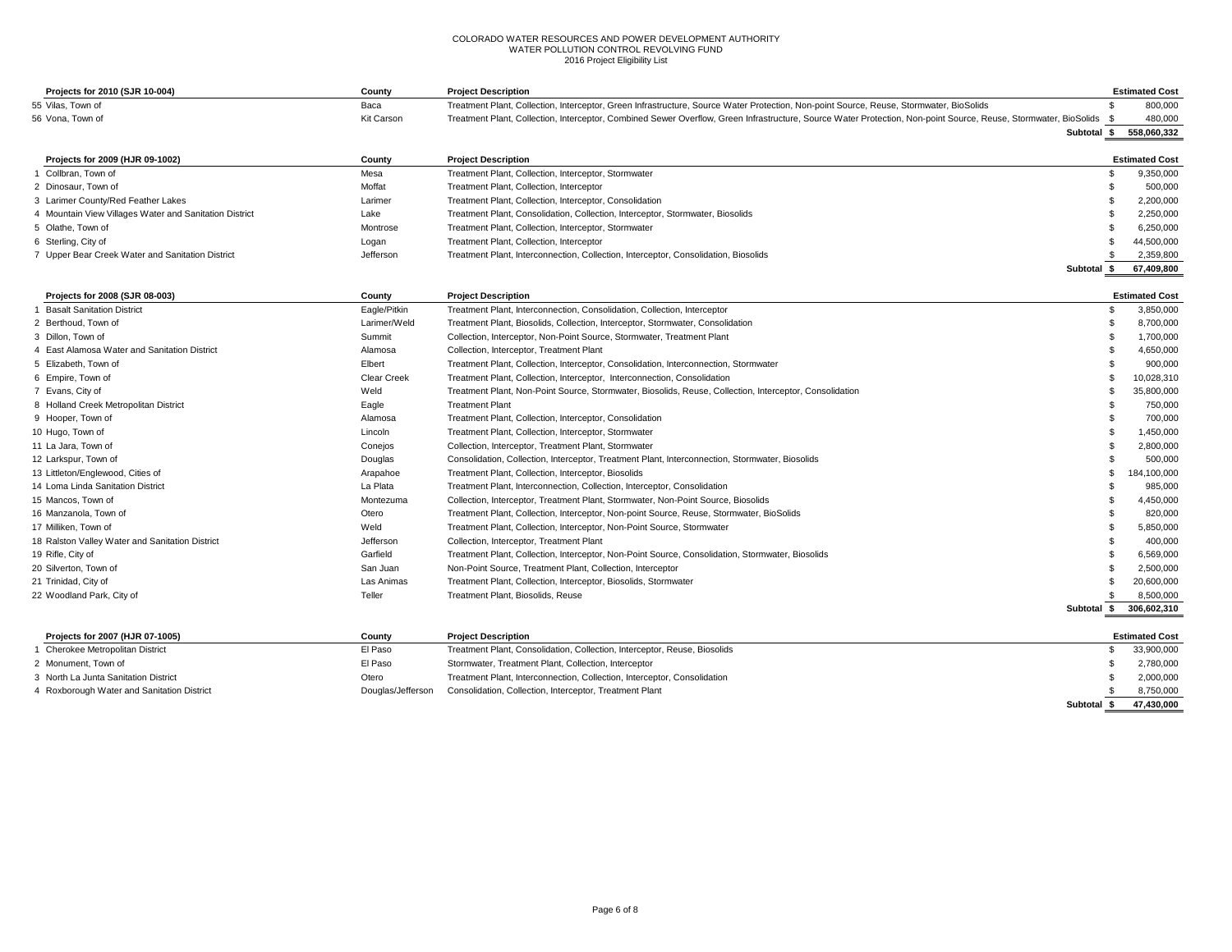| Projects for 2010 (SJR 10-004)                         | County             | <b>Project Description</b>                                                                                                                                       |             | <b>Estimated Cost</b>   |
|--------------------------------------------------------|--------------------|------------------------------------------------------------------------------------------------------------------------------------------------------------------|-------------|-------------------------|
| 55 Vilas, Town of                                      | Baca               | Treatment Plant, Collection, Interceptor, Green Infrastructure, Source Water Protection, Non-point Source, Reuse, Stormwater, BioSolids                          | -96         | 800,000                 |
| 56 Vona, Town of                                       | Kit Carson         | Treatment Plant, Collection, Interceptor, Combined Sewer Overflow, Green Infrastructure, Source Water Protection, Non-point Source, Reuse, Stormwater, BioSolids | -S          | 480,000                 |
|                                                        |                    |                                                                                                                                                                  |             | Subtotal \$ 558,060,332 |
| Projects for 2009 (HJR 09-1002)                        | County             | <b>Project Description</b>                                                                                                                                       |             | <b>Estimated Cost</b>   |
| 1 Collbran, Town of                                    | Mesa               | Treatment Plant, Collection, Interceptor, Stormwater                                                                                                             | -S          | 9,350,000               |
| 2 Dinosaur, Town of                                    | Moffat             | Treatment Plant, Collection, Interceptor                                                                                                                         |             | 500,000                 |
| 3 Larimer County/Red Feather Lakes                     | Larimer            | Treatment Plant, Collection, Interceptor, Consolidation                                                                                                          |             | 2,200,000               |
| 4 Mountain View Villages Water and Sanitation District | Lake               | Treatment Plant, Consolidation, Collection, Interceptor, Stormwater, Biosolids                                                                                   |             | 2,250,000               |
| 5 Olathe, Town of                                      | Montrose           | Treatment Plant, Collection, Interceptor, Stormwater                                                                                                             |             | 6,250,000               |
| 6 Sterling, City of                                    | Logan              | Treatment Plant, Collection, Interceptor                                                                                                                         |             | 44,500,000              |
| 7 Upper Bear Creek Water and Sanitation District       | Jefferson          | Treatment Plant, Interconnection, Collection, Interceptor, Consolidation, Biosolids                                                                              |             | 2,359,800               |
|                                                        |                    |                                                                                                                                                                  | Subtotal \$ | 67,409,800              |
| Projects for 2008 (SJR 08-003)                         | County             | <b>Project Description</b>                                                                                                                                       |             | <b>Estimated Cost</b>   |
| 1 Basalt Sanitation District                           | Eagle/Pitkin       | Treatment Plant, Interconnection, Consolidation, Collection, Interceptor                                                                                         |             | 3,850,000               |
| 2 Berthoud, Town of                                    | Larimer/Weld       | Treatment Plant, Biosolids, Collection, Interceptor, Stormwater, Consolidation                                                                                   |             | 8,700,000               |
| 3 Dillon, Town of                                      | Summit             | Collection, Interceptor, Non-Point Source, Stormwater, Treatment Plant                                                                                           |             | 1,700,000               |
| 4 East Alamosa Water and Sanitation District           | Alamosa            | Collection, Interceptor, Treatment Plant                                                                                                                         |             | 4,650,000               |
| 5 Elizabeth, Town of                                   | Elbert             | Treatment Plant, Collection, Interceptor, Consolidation, Interconnection, Stormwater                                                                             |             | 900,000                 |
| 6 Empire, Town of                                      | <b>Clear Creek</b> | Treatment Plant, Collection, Interceptor, Interconnection, Consolidation                                                                                         |             | 10,028,310              |
| 7 Evans, City of                                       | Weld               | Treatment Plant, Non-Point Source, Stormwater, Biosolids, Reuse, Collection, Interceptor, Consolidation                                                          |             | 35,800,000              |
| 8 Holland Creek Metropolitan District                  | Eagle              | <b>Treatment Plant</b>                                                                                                                                           |             | 750,000                 |
| 9 Hooper, Town of                                      | Alamosa            | Treatment Plant, Collection, Interceptor, Consolidation                                                                                                          |             | 700,000                 |
| 10 Hugo, Town of                                       | Lincoln            | Treatment Plant, Collection, Interceptor, Stormwater                                                                                                             |             | 1,450,000               |
| 11 La Jara, Town of                                    | Conejos            | Collection, Interceptor, Treatment Plant, Stormwater                                                                                                             |             | 2,800,000               |
| 12 Larkspur, Town of                                   | Douglas            | Consolidation, Collection, Interceptor, Treatment Plant, Interconnection, Stormwater, Biosolids                                                                  |             | 500,000                 |
| 13 Littleton/Englewood, Cities of                      | Arapahoe           | Treatment Plant, Collection, Interceptor, Biosolids                                                                                                              | - 96        | 184,100,000             |
| 14 Loma Linda Sanitation District                      | La Plata           | Treatment Plant, Interconnection, Collection, Interceptor, Consolidation                                                                                         |             | 985,000                 |
| 15 Mancos. Town of                                     | Montezuma          | Collection, Interceptor, Treatment Plant, Stormwater, Non-Point Source, Biosolids                                                                                |             | 4,450,000               |
| 16 Manzanola, Town of                                  | Otero              | Treatment Plant, Collection, Interceptor, Non-point Source, Reuse, Stormwater, BioSolids                                                                         |             | 820,000                 |
| 17 Milliken, Town of                                   | Weld               | Treatment Plant, Collection, Interceptor, Non-Point Source, Stormwater                                                                                           |             | 5,850,000               |
| 18 Ralston Valley Water and Sanitation District        | Jefferson          | Collection, Interceptor, Treatment Plant                                                                                                                         |             | 400,000                 |
| 19 Rifle, City of                                      | Garfield           | Treatment Plant, Collection, Interceptor, Non-Point Source, Consolidation, Stormwater, Biosolids                                                                 |             | 6,569,000               |
| 20 Silverton, Town of                                  | San Juan           | Non-Point Source, Treatment Plant, Collection, Interceptor                                                                                                       |             | 2,500,000               |
| 21 Trinidad, City of                                   | Las Animas         | Treatment Plant, Collection, Interceptor, Biosolids, Stormwater                                                                                                  |             | 20,600,000              |
| 22 Woodland Park, City of                              | Teller             | Treatment Plant, Biosolids, Reuse                                                                                                                                |             | 8,500,000               |
|                                                        |                    |                                                                                                                                                                  |             | Subtotal \$ 306,602,310 |
| Projects for 2007 (HJR 07-1005)                        | County             | <b>Project Description</b>                                                                                                                                       |             | <b>Estimated Cost</b>   |
| 1 Cherokee Metropolitan District                       | El Paso            | Treatment Plant, Consolidation, Collection, Interceptor, Reuse, Biosolids                                                                                        | - \$        | 33,900,000              |
| 2 Monument, Town of                                    | El Paso            | Stormwater, Treatment Plant, Collection, Interceptor                                                                                                             |             | 2,780,000               |
| 3 North La Junta Sanitation District                   | Otero              | Treatment Plant, Interconnection, Collection, Interceptor, Consolidation                                                                                         |             | 2,000,000               |
| 4 Roxborough Water and Sanitation District             | Douglas/Jefferson  | Consolidation, Collection, Interceptor, Treatment Plant                                                                                                          |             | 8,750,000               |

**Subtotal \$ 47,430,000**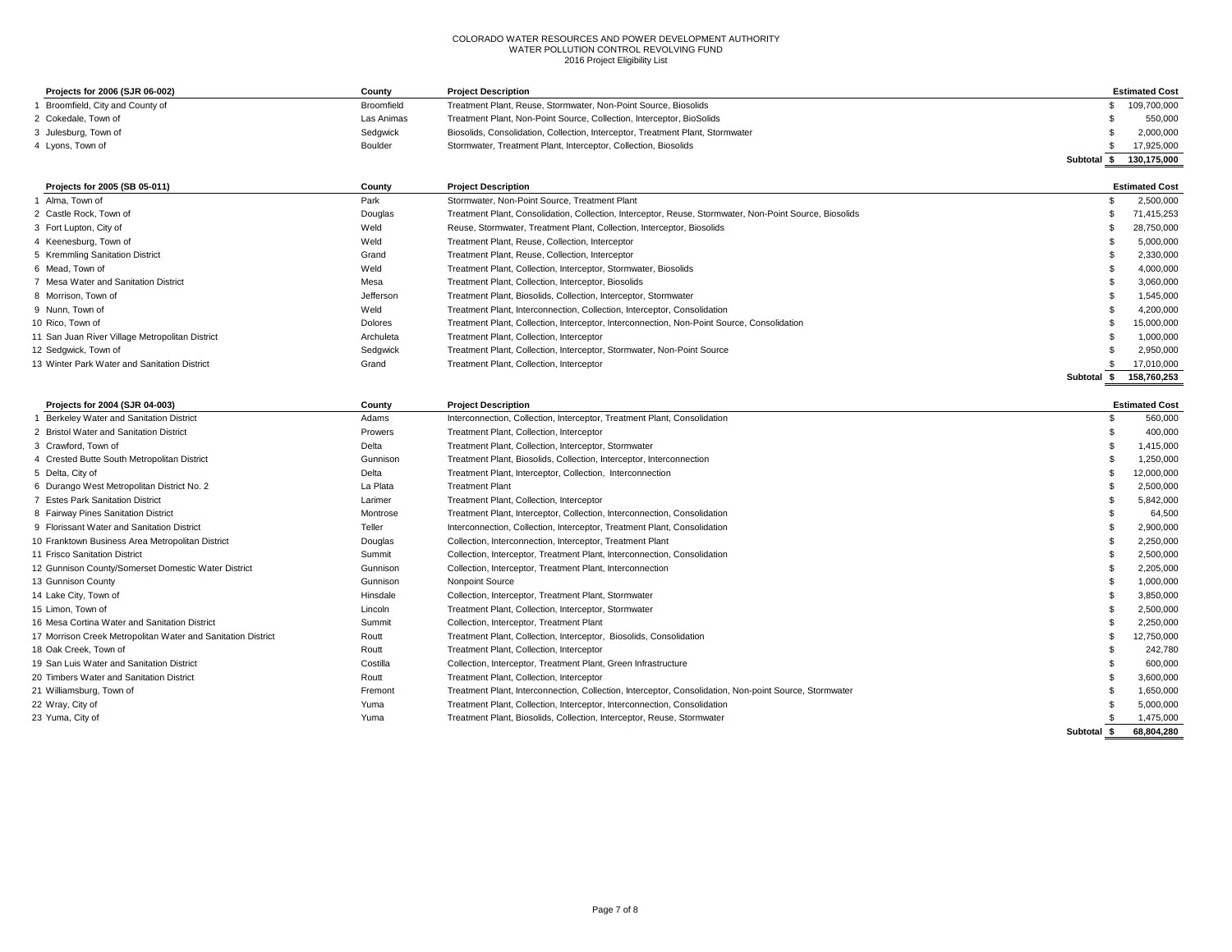| Projects for 2006 (SJR 06-002) | County     | <b>Project Description</b>                                                     | <b>Estimated Cost</b>   |
|--------------------------------|------------|--------------------------------------------------------------------------------|-------------------------|
| Broomfield, City and County of | Broomfield | Treatment Plant, Reuse, Stormwater, Non-Point Source, Biosolids                | 109,700,000             |
| 2 Cokedale, Town of            | Las Animas | Treatment Plant, Non-Point Source, Collection, Interceptor, BioSolids          | 550,000                 |
| 3 Julesburg, Town of           | Sedawick   | Biosolids, Consolidation, Collection, Interceptor, Treatment Plant, Stormwater | 2.000.000               |
| 4 Lyons, Town of               | Boulder    | Stormwater, Treatment Plant, Interceptor, Collection, Biosolids                | 17,925,000              |
|                                |            |                                                                                | 130,175,000<br>Subtotal |

| Projects for 2005 (SB 05-011)                   | County    | <b>Project Description</b>                                                                              |          | <b>Estimated Cost</b> |
|-------------------------------------------------|-----------|---------------------------------------------------------------------------------------------------------|----------|-----------------------|
| 1 Alma, Town of                                 | Park      | Stormwater, Non-Point Source, Treatment Plant                                                           |          | 2,500,000             |
| 2 Castle Rock, Town of                          | Douglas   | Treatment Plant, Consolidation, Collection, Interceptor, Reuse, Stormwater, Non-Point Source, Biosolids |          | 71.415.253            |
| 3 Fort Lupton, City of                          | Weld      | Reuse, Stormwater, Treatment Plant, Collection, Interceptor, Biosolids                                  |          | 28,750,000            |
| 4 Keenesburg, Town of                           | Weld      | Treatment Plant, Reuse, Collection, Interceptor                                                         |          | 5,000,000             |
| 5 Kremmling Sanitation District                 | Grand     | Treatment Plant, Reuse, Collection, Interceptor                                                         |          | 2,330,000             |
| 6 Mead. Town of                                 | Weld      | Treatment Plant, Collection, Interceptor, Stormwater, Biosolids                                         |          | 4,000,000             |
| 7 Mesa Water and Sanitation District            | Mesa      | Treatment Plant, Collection, Interceptor, Biosolids                                                     |          | 3,060,000             |
| 8 Morrison, Town of                             | Jefferson | Treatment Plant, Biosolids, Collection, Interceptor, Stormwater                                         |          | 1,545,000             |
| 9 Nunn. Town of                                 | Weld      | Treatment Plant, Interconnection, Collection, Interceptor, Consolidation                                |          | 4.200.000             |
| 10 Rico. Town of                                | Dolores   | Treatment Plant, Collection, Interceptor, Interconnection, Non-Point Source, Consolidation              |          | 15,000,000            |
| 11 San Juan River Village Metropolitan District | Archuleta | Treatment Plant, Collection, Interceptor                                                                |          | 1,000,000             |
| 12 Sedgwick, Town of                            | Sedgwick  | Treatment Plant, Collection, Interceptor, Stormwater, Non-Point Source                                  |          | 2,950,000             |
| 13 Winter Park Water and Sanitation District    | Grand     | Treatment Plant, Collection, Interceptor                                                                |          | 17,010,000            |
|                                                 |           |                                                                                                         | Subtotal | 158.760.253           |

| Projects for 2004 (SJR 04-003)                               | County   | <b>Project Description</b>                                                                             |          | <b>Estimated Cost</b> |
|--------------------------------------------------------------|----------|--------------------------------------------------------------------------------------------------------|----------|-----------------------|
| 1 Berkeley Water and Sanitation District                     | Adams    | Interconnection, Collection, Interceptor, Treatment Plant, Consolidation                               |          | 560,000               |
| 2 Bristol Water and Sanitation District                      | Prowers  | Treatment Plant, Collection, Interceptor                                                               |          | 400,000               |
| 3 Crawford, Town of                                          | Delta    | Treatment Plant, Collection, Interceptor, Stormwater                                                   |          | 1,415,000             |
| 4 Crested Butte South Metropolitan District                  | Gunnison | Treatment Plant, Biosolids, Collection, Interceptor, Interconnection                                   |          | 1,250,000             |
| 5 Delta, City of                                             | Delta    | Treatment Plant, Interceptor, Collection, Interconnection                                              |          | 12,000,000            |
| 6 Durango West Metropolitan District No. 2                   | La Plata | <b>Treatment Plant</b>                                                                                 |          | 2,500,000             |
| 7 Estes Park Sanitation District                             | Larimer  | Treatment Plant, Collection, Interceptor                                                               |          | 5,842,000             |
| 8 Fairway Pines Sanitation District                          | Montrose | Treatment Plant, Interceptor, Collection, Interconnection, Consolidation                               |          | 64,500                |
| 9 Florissant Water and Sanitation District                   | Teller   | Interconnection, Collection, Interceptor, Treatment Plant, Consolidation                               |          | 2,900,000             |
| 10 Franktown Business Area Metropolitan District             | Douglas  | Collection, Interconnection, Interceptor, Treatment Plant                                              |          | 2,250,000             |
| 11 Frisco Sanitation District                                | Summit   | Collection, Interceptor, Treatment Plant, Interconnection, Consolidation                               |          | 2,500,000             |
| 12 Gunnison County/Somerset Domestic Water District          | Gunnison | Collection, Interceptor, Treatment Plant, Interconnection                                              |          | 2,205,000             |
| 13 Gunnison County                                           | Gunnison | Nonpoint Source                                                                                        |          | 1,000,000             |
| 14 Lake City, Town of                                        | Hinsdale | Collection, Interceptor, Treatment Plant, Stormwater                                                   |          | 3,850,000             |
| 15 Limon. Town of                                            | Lincoln  | Treatment Plant, Collection, Interceptor, Stormwater                                                   |          | 2,500,000             |
| 16 Mesa Cortina Water and Sanitation District                | Summit   | Collection, Interceptor, Treatment Plant                                                               |          | 2,250,000             |
| 17 Morrison Creek Metropolitan Water and Sanitation District | Routt    | Treatment Plant, Collection, Interceptor, Biosolids, Consolidation                                     |          | 12.750.000            |
| 18 Oak Creek, Town of                                        | Routt    | Treatment Plant, Collection, Interceptor                                                               |          | 242.780               |
| 19 San Luis Water and Sanitation District                    | Costilla | Collection, Interceptor, Treatment Plant, Green Infrastructure                                         |          | 600,000               |
| 20 Timbers Water and Sanitation District                     | Routt    | Treatment Plant, Collection, Interceptor                                                               |          | 3,600,000             |
| 21 Williamsburg, Town of                                     | Fremont  | Treatment Plant, Interconnection, Collection, Interceptor, Consolidation, Non-point Source, Stormwater |          | 1,650,000             |
| 22 Wray, City of                                             | Yuma     | Treatment Plant, Collection, Interceptor, Interconnection, Consolidation                               |          | 5,000,000             |
| 23 Yuma, City of                                             | Yuma     | Treatment Plant, Biosolids, Collection, Interceptor, Reuse, Stormwater                                 |          | 1,475,000             |
|                                                              |          |                                                                                                        | Subtotal | 68,804,280            |